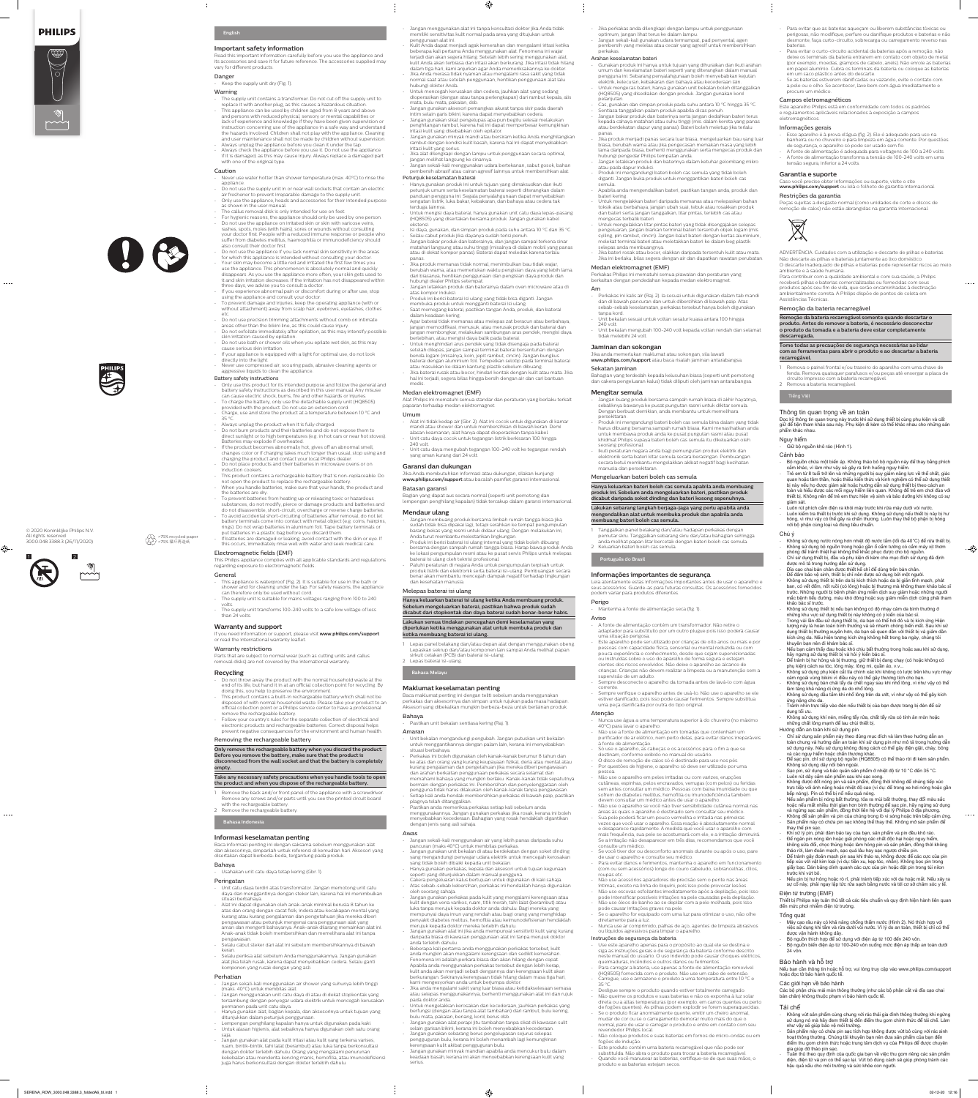## **PHILIPS**

 $\omega = \omega/\omega$ 

 $\bigoplus$ 

## **English**

#### **Important safety information**

Read this important information carefully before you use the appliance and its accessories and save it for future reference. The accessories supplied may vary for different products.

## Danger

Keep the supply unit dry (Fig. 1).

## Warning

- The supply unit contains a transformer. Do not cut off the supply unit to replace it with another plug, as this causes a hazardous situation.
- This appliance can be used by children aged from 8 years and above and persons with reduced physical, sensory or mental capabilities or lack of experience and knowledge if they have been given supervision or instruction concerning use of the appliance in a safe way and understand the hazards involved. Children shall not play with the appliance. Cleaning and user maintenance shall not be made by children without supervision.
- Always unplug the appliance before you clean it under the tap. Always check the appliance before you use it. Do not use the appliance if it is damaged, as this may cause injury. Always replace a damaged part with one of the original type.

#### Caution

- Never use water hotter than shower temperature (max. 40°C) to rinse the
- appliance.
- Do not use the supply unit in or near wall sockets that contain an electric air freshener to prevent irreparable damage to the supply unit.
- Only use the appliance, heads and accessories for their intended purpose as shown in the user manual.
- The callus removal disk is only intended for use on feet.
- For hygienic reasons, the appliance should only be used by one person. Do not use the appliance on irritated skin or skin with varicose veins,

- If you experience abnormal pain or discomfort during or after use, stop using the appliance and consult your doctor.
- To prevent damage and injuries, keep the operating appliance (with or without attachment) away from scalp hair, eyebrows, eyelashes, clothes etc.
- Do not use precision trimming attachments without comb on intimate areas other than the bikini line, as this could cause injury.
- Do not exfoliate immediately after epilation, as this may intensify possible skin irritation caused by epilation.
- Do not use bath or shower oils when you epilate wet skin, as this may cause serious skin irritation.
- If your appliance is equipped with a light for optimal use, do not look directly into the light.
- Never use compressed air, scouring pads, abrasive cleaning agents or aggressive liquids to clean the appliance.



also consult their doctor first. Do not use the appliance if you lack normal skin sensitivity in the areas for which this appliance is intended without consulting your doctor. Your skin may become a little red and irritated the first few times you use the appliance. This phenomenon is absolutely normal and quickly disappears. As you use the appliance more often, your skin gets used to it and skin irritation decreases. If the irritation has not disappeared within three days, we advise you to consult a doctor.

- To charge the battery, only use the detachable supply unit (HQ8505) provided with the product. Do not use an extension cord. Charge, use and store the product at a temperature between 10 °C and
- 35 °C.
- Always unplug the product when it is fully charged.
- Do not burn products and their batteries and do not expose them to direct sunlight or to high temperatures (e.g. in hot cars or near hot stoves). Batteries may explode if overheated.
- If the product becomes abnormally hot, gives off an abnormal smell, changes color or if charging takes much longer than usual, stop using and
- charging the product and contact your local Philips dealer. Do not place products and their batteries in microwave ovens or on induction cookers.
- This product contains a rechargeable battery that is non-replaceable. Do not open the product to replace the rechargeable battery.
- When you handle batteries, make sure that your hands, the product and
- the batteries are dry. To prevent batteries from heating up or releasing toxic or hazardous substances, do not modify, pierce or damage products and batteries and do not disassemble, short-circuit, overcharge or reverse charge batteries. To avoid accidental short-circuiting of batteries after removal, do not let
- battery terminals come into contact with metal object (e.g. coins, hairpins, rings). Do not wrap batteries in aluminum foil. Tape battery terminals or put batteries in a plastic bag before you discard them.
- If batteries are damaged or leaking, avoid contact with the skin or eye. If this occurs, immediately rinse well with water and seek medical care.

- This appliance is waterproof (Fig. 2). It is suitable for use in the bath or shower and for cleaning under the tap. For safety reasons, the appliance can therefore only be used without cord.
- The supply unit is suitable for mains voltages ranging from 100 to 240 volts.
- The supply unit transforms 100-240 volts to a safe low voltage of less than 24 volts.

#### Battery safety instructions

- Only use this product for its intended purpose and follow the general and battery safety instructions as described in this user manual. Any misuse can cause electric shock, burns, fire and other hazards or injuries.

- 1 Remove the back and/or front panel of the appliance with a screwdriver. Remove any screws and/or parts until you see the printed circuit board with the rechargeable battery.
- 2 Remove the rechargeable battery

#### Electromagnetic fields (EMF)

This Philips appliance complies with all applicable standards and regulations regarding exposure to electromagnetic fields.

## General

## **Warranty and support**

If you need information or support, please visit **www.philips.com/support**  or read the international warranty leaflet.

#### Warranty restrictions

Parts that are subject to normal wear (such as cutting units and callus removal disks) are not covered by the international warranty.

#### **Recycling**

- Do not throw away the product with the normal household waste at the end of its life, but hand it in at an official collection point for recycling. By doing this, you help to preserve the environment.
- This product contains a built-in rechargeable battery which shall not be disposed of with normal household waste. Please take your product to an official collection point or a Philips service center to have a professional remove the rechargeable battery.
- Follow your country's rules for the separate collection of electrical and electronic products and rechargeable batteries. Correct disposal helps prevent negative consequences for the environment and human health.

#### Removing the rechargeable battery

#### **Only remove the rechargeable battery when you discard the product. Before you remove the battery, make sure that the product is disconnected from the wall socket and that the battery is completely empty.**

#### **Take any necessary safety precautions when you handle tools to open the product and when you dispose of the rechargeable battery.**

## **Bahasa Indonesia**

### **Informasi keselamatan penting**

nik serta baterai benar akan membantu mencegah dampak negatif terhadap lingkungan dan kesehatan manusia.

Baca informasi penting ini dengan saksama sebelum menggunakan alat dan aksesorinya, simpanlah untuk referensi di kemudian hari. Aksesori yang disertakan dapat berbeda-beda, tergantung pada produk.

#### Bahaya

- Usahakan unit catu daya tetap kering (Gbr. 1).

#### Peringatan

- Unit catu daya terdiri atas transformator. Jangan memotong unit catu daya dan menggantinya dengan steker lain, karena hal ini menimbulkan situasi berbahaya.
- Alat ini dapat digunakan oleh anak-anak minimal berusia 8 tahun ke atas dan orang dengan cacat fisik, indera atau kecakapan mental yang kurang atau kurang pengalaman dan pengetahuan jika mereka diberi pengawasan atau petunjuk mengenai cara penggunaan alat yang aman dan mengerti bahayanya. Anak-anak dilarang memainkan alat ini. Anak-anak tidak boleh membersihkan dan memelihara alat ini tanpa pengawasan.
- Selalu cabut steker dari alat ini sebelum membersihkannya di bawah keran.
- Selalu periksa alat sebelum Anda menggunakannya. Jangan gunakan alat jika telah rusak, karena dapat menyebabkan cedera. Selalu ganti komponen yang rusak dengan yang asli.

#### Perhatian

- Jangan sekali-kali menggunakan air shower yang suhunya lebih tinggi (maks. 40°C) untuk membilas alat.
- Jangan menggunakan unit catu daya di atau di dekat stopkontak yang tersambung dengan penyegar udara elektrik untuk mencegah kerusakan permanen pada unit catu daya.
- Hanya gunakan alat, bagian kepala, dan aksesorinya untuk tujuan yang ditunjukkan dalam petunjuk penggunaan.
- Lempengan penghilang kapalan hanya untuk digunakan pada kaki. - Untuk alasan higienis, alat sebaiknya hanya digunakan oleh satu orang saja.
- Jangan gunakan alat pada kulit iritasi atau kulit yang terkena varises, ruam, bintik-bintik, tahi lalat (berambut) atau luka tanpa berkonsultasi dengan dokter terlebih dahulu. Orang yang mengalami penurunan kekebalan atau menderita kencing manis, hemofilia, atau imunodefisiensi juga harus berkonsultasi dengan dokter terlebih dahulu.



>75% recycled paper >75% 循环再造纸

- Jangan menggunakan alat ini tanpa konsultasi dokter jika Anda tidak memiliki sensitivitas kulit normal pada area yang ditujukan untuk penggunaan alat ini.

 $\bigoplus$ 

- Kulit Anda dapat menjadi agak kemerahan dan mengalami iritasi ketika beberapa kali pertama Anda menggunakan alat. Fenomena ini wajar terjadi dan akan segera hilang. Setelah lebih sering menggunakan alat, kulit Anda akan terbiasa dan iritasi akan berkurang. Jika iritasi tidak hilang dalam tiga hari, kami anjurkan agar Anda memeriksakannya ke dokter.
- Jika Anda merasa tidak nyaman atau mengalami rasa sakit yang tidak normal saat atau setelah penggunaan, hentikan penggunaan alat lalu hubungi dokter Anda.
- Untuk mencegah kerusakan dan cedera, jauhkan alat yang sedang dioperasikan (dengan atau tanpa perlengkapan) dari rambut kepala, alis mata, bulu mata, pakaian, dsb.
- Jangan gunakan aksesori pemangkas akurat tanpa sisir pada daerah intim selain garis bikini, karena dapat menyebabkan cedera.
- Jangan gunakan sikat pengelupas apa pun begitu selesai melakukan penghilangan rambut, karena hal ini dapat memperbesar kemungkinan iritasi kulit yang disebabkan oleh epilator.
- Jangan gunakan minyak mandi atau bersiram ketika Anda menghilangkan rambut dengan kondisi kulit basah, karena hal ini dapat menyebabkan iritasi kulit yang serius.
- Jika alat dilengkapi dengan lampu untuk penggunaan secara optimal, jangan melihat langsung ke sinarnya.
- Jangan sekali-kali menggunakan udara bertekanan, sabut gosok, bahan pembersih abrasif atau cairan agresif lainnya untuk membersihkan alat. Petunjuk keselamatan baterai
- Hanya gunakan produk ini untuk tujuan yang dimaksudkan dan ikuti petunjuk umum serta keselamatan baterai seperti diterangkan dalam panduan pengguna ini. Segala penyalahgunaan dapat menyebabkan
- sengatan listrik, luka bakar, kebakaran, dan bahaya atau cedera tak terduga lainnya. - Untuk mengisi daya baterai, hanya gunakan unit catu daya lepas-pasang
- (HQ8505) yang disertakan bersama produk. Jangan gunakan kabel ekstensi. - Isi daya, gunakan, dan simpan produk pada suhu antara 10 °C dan 35 °C.
- Selalu cabut produk jika dayanya sudah terisi penuh. - Jangan bakar produk dan baterainya, dan jangan sampai terkena sinar
- matahari langsung atau suhu tinggi (misalnya di dalam mobil yang panas atau di dekat kompor panas). Baterai dapat meledak karena terlalu panas.
- Jika produk memanas tidak normal, menimbulkan bau tidak wajar, berubah warna, atau memerlukan waktu pengisian daya yang lebih lama dari biasanya, hentikan penggunaan dan pengisian daya produk dan hubungi dealer Philips setempat.
- Jangan letakkan produk dan baterainya dalam oven microwave atau di atas kompor induksi.
- Produk ini berisi baterai isi ulang yang tidak bisa diganti. Jangan membuka produk untuk mengganti baterai isi ulang.
- Saat memegang baterai, pastikan tangan Anda, produk, dan baterai dalam keadaan kering.
- Agar baterai tidak memanas atau melepas zat beracun atau berbahaya, jangan memodifikasi, menusuk, atau merusak produk dan baterai dan jangan membongkar, melakukan sambungan arus pendek, mengisi daya berlebihan, atau mengisi daya balik pada baterai.
- Untuk menghindari arus pendek yang tidak disengaja pada baterai setelah dilepas, jangan sampai terminal baterai bersentuhan dengan benda logam (misalnya, koin, jepit rambut, cincin). Jangan bungkus baterai dengan aluminium foil. Tempelkan selotip pada terminal baterai atau masukkan ke dalam kantung plastik sebelum dibuang.
- Jika baterai rusak atau bocor, hindari kontak dengan kulit atau mata. Jika hal ini terjadi, segera bilas hingga bersih dengan air dan cari bantuan medis.

#### Medan elektromagnet (EMF)

Alat Philips ini mematuhi semua standar dan peraturan yang berlaku terkait paparan terhadap medan elektromagnet.

#### Umum

- Alat ini tidak kedap air (Gbr. 2). Alat ini cocok untuk digunakan di kamar mandi atau shower dan untuk membersihkan di bawah keran. Demi alasan keamanan, alat hanya dapat dioperasikan tanpa kabel. - Unit catu daya cocok untuk tegangan listrik berkisaran 100 hingga
- 240 volt. - Unit catu daya mengubah tegangan 100-240 volt ke tegangan rendah yang aman kurang dari 24 volt.
- **Garansi dan dukungan**
- Jika Anda membutuhkan informasi atau dukungan, silakan kunjungi **www.philips.com/support** atau bacalah pamflet garansi internasional.

#### Batasan garansi

Bagian yang dapat aus secara normal (seperti unit pemotong dan lempengan penghilang kapalan) tidak tercakup dalam garansi internasional.

#### **Mendaur ulang**

- Use este aparelho apenas para o propósito ao qual ele se destina e siga as instruções gerais e de segurança da bateria conforme descrito neste manual do usuário. O uso indevido pode causar choques elétricos, queimaduras, incêndios e outros danos ou ferimentos.
- Para carregar a bateria, use apenas a fonte de alimentação removível (HQ8505) fornecida com o produto. Não use um cabo de extensão. Carregue, use e armazene o produto a uma temperatura entre 10 °C e
- 35 °C. - Desligue sempre o produto quando estiver totalmente carregado.
- Não queime os produtos e suas baterias e não os exponha à luz solar
- direta ou a altas temperaturas (por exemplo, em carros quentes ou perto
- de fogões quentes). As pilhas podem explodir se forem superaquecidas. Se o produto ficar anormalmente quente, emitir um cheiro anormal,
- mudar de cor ou se o carregamento demorar muito mais do que o normal, pare de usar e carregar o produto e entre em contato com seu revendedor Philips local.

Não coloque produtos e suas baterias em fornos de micro-ondas ou em fogões de indução. - Este produto contém uma bateria recarregável que não pode ser

- Jangan membuang produk bersama limbah rumah tangga biasa jika sudah tidak bisa dipakai lagi, tetapi serahkan ke tempat pengumpulan barang bekas yang resmi untuk didaur ulang. Dengan melakukan ini, Anda turut membantu melestarikan lingkungan.
- Produk ini berisi baterai isi ulang internal yang tidak boleh dibuang bersama dengan sampah rumah tangga biasa. Harap bawa produk Anda ke lokasi pengumpulan resmi atau ke pusat servis Philips untuk melepas baterai isi ulang oleh teknisi profesional.
- Patuhi peraturan di negara Anda untuk pengumpulan terpisah untuk

Para evitar o curto-circuito acidental da baterias após a remoção, não deixe os terminais da bateria entrarem em contato com objeto de metal (por exemplo, moedas, grampos de cabelo, anéis). Não enrole as baterias em papel alumínio. Cubra os terminais da bateria ou coloque as baterias

#### Melepas baterai isi ulang

#### **Hanya keluarkan baterai isi ulang ketika Anda membuang produk. Sebelum mengeluarkan baterai, pastikan bahwa produk sudah dicabut dari stopkontak dan daya baterai sudah benar-benar habis.**

**Lakukan semua tindakan pencegahan demi keselamatan yang diperlukan ketika menggunakan alat untuk membuka produk dan ketika membuang baterai isi ulang.**

1 Lepas panel belakang dan/atau depan alat dengan menggunakan obeng. Lepaskan sekrup dan/atau komponen lain sampai Anda melihat papan sirkuit cetakan (PCB) dan baterai isi-ulang. 2 Lepas baterai isi-ulang.

**Bahasa Melayu**

#### **Maklumat keselamatan penting**

Baca maklumat penting ini dengan teliti sebelum anda menggunakan perkakas dan aksesorinya dan simpan untuk rujukan pada masa hadapan. Aksesori yang dibekalkan mungkin berbeza-beza untuk berlainan produk. Remova o painel frontal e/ou traseiro do aparelho com uma chave de fenda. Remova quaisquer parafusos e/ou peças até enxergar a placa de

#### Bahaya

- Pastikan unit bekalan sentiasa kering (Raj. 1).

#### Amaran

- Không sử dụng nước nóng hơn nhiệt độ nước tắm (tối đa 40°C) để rửa thiết bị. Không sử dụng bộ nguồn trong hoặc gần ổ cắm tường có cắm máy xit thơm phòng để tránh thiệt hại không thể khắc phục được cho bộ nguồn. Chỉ sử dụng thiết bị, đầu và phụ kiện đi kèm cho mục đích sử dụng đã định

- Unit bekalan mengandungi pengubah. Jangan putuskan unit bekalan untuk menggantikannya dengan palam lain, kerana ini menyebabkan situasi berbahaya.
- Perkakas ini boleh digunakan oleh kanak-kanak berumur 8 tahun dan ke atas dan orang yang kurang keupayaan fizikal, deria atau mental atau kurang pengalaman dan pengetahuan jika mereka diberi pengawasan dan arahan berkaitan penggunaan perkakas secara selamat dan memahami bahaya yang mungkin berlaku. Kanak-kanak tidak sepatutnya
- bermain dengan perkakas ini. Pembersihan dan penyelenggaraan oleh pengguna tidak harus dilakukan oleh kanak-kanak tanpa pengawasan. - Setiap kali anda hendak membersihkan perkakas di bawah paip, pastikan plagnya telah ditanggalkan.
- Pastikan anda memeriksa perkakas setiap kali sebelum anda menggunakannya. Jangan gunakan perkakas jika rosak, kerana ini boleh
- menyebabkan kecederaan. Bahagian yang rosak hendaklah digantikan dengan jenis yang asli sahaja.

Đĩa cao chai bàn chân được thiết kế chỉ để dùng trên bàn chân - Để đảm bảo vệ sinh, thiết bị chỉ nên được sử dụng bởi một người. Không sử dụng thiết bị trên da bị kích thích hoặc da bị giãn tĩnh mạch, phát ban, có vết đốm, nốt ruồi (có lông) hoặc bị thương mà không tham khảo bác sĩ trước. Những người bị bệnh phản ứng miễn dịch suy giảm hoặc những người mắc bệnh tiểu đường, máu khó đông hoặc suy giảm miễn dịch cũng phải tham

Không sử dụng thiết bị nếu bạn không có độ nhạy cảm da bình thường ở những khu vực sử dụng thiết bị này không có ý kiến của bác sĩ.

### Awas

Trong vài lần đầu sử dụng thiết bị, da bạn có thể hơi đỏ và bị kích ứng Hiện tượng này là hoàn toàn bình thường và sẽ nhanh chóng biến mất. Sau khi sử dụng thiết bị thường xuyên hơn, da bạn sẽ quen dần với thiết bị và giảm dần kích ứng da. Nếu hiện tượng kích ứng không hết trong ba ngày, chúng tôi

Nếu bạn cảm thấy đau hoặc khó chịu bất thường trong hoặc sau khi sử dụng,

Để tránh bị hư hỏng và bị thương, giữ thiết bị đang chạy (có hoặc không có

Không sử dụng phụ kiện cắt tỉa chính xác khi không có lược trên khu vực nhạy

Không sử dụng bàn chải tẩy da chết ngay sau khi nhổ lông, vì như vậy có thể

- Jangan sekali-kali menggunakan air yang lebih panas daripada suhu pancuran (maks 40°C) untuk membilas perkakas.
- Jangan gunakan unit bekalan di atau berdekatan dengan soket dinding yang mengandungi penyegar udara elektrik untuk mencegah kerosakan yang tidak boleh dibaiki kepada unit bekalan.
- Hanya gunakan perkakas, kepala dan aksesori untuk tujuan kegunaan seperti yang ditunjukkan dalam manual pengguna.
- Cakera pengeluaran kalus bertujuan untuk digunakan di kaki sahaja. - Atas sebab-sebab kebersihan, perkakas ini hendaklah hanya digunakan oleh seorang sahaja.
- Jangan gunakan perkakas pada kulit yang mengalami kerengsaan atau kulit dengan vena varikos, ruam, titik merah, tahi lalat (berambut) atau luka tanpa merujuk kepada doktor anda dahulu. Bagi mereka yang mempunyai daya imun yang rendah atau bagi orang yang menghidap penyakit diabetes melitus, hemofilia atau keimunodefisienan hendaklah merujuk kepada doktor mereka terlebih dahulu.
- Jangan gunakan alat ini jika anda mempunyai sensitiviti kulit yang kurang daripada biasa di kawasan penggunaan alat ini tanpa merujuk doktor anda terlebih dahulu.
- Beberapa kali pertama anda menggunakan perkakas tersebut, kulit anda mungkin akan mengalami kerengsaan dan sedikit kemerahan. Fenomena ini adalah perkara biasa dan akan hilang dengan cepat. Apabila anda menggunakan perkakas tersebut dengan lebih kerap, kulit anda akan menjadi sebati dengannya dan kerengsaan kulit akan berkurangan. Sekiranya kerengsaan tidak hilang dalam masa tiga hari, kami mengesyorkan anda untuk berjumpa doktor.
- Jika anda mengalami sakit yang luar biasa atau ketidakselesaan semasa atau selepas menggunakannya, berhenti menggunakan alat ini dan rujuk pada doktor anda.
- Untuk mengelakkan kerosakan dan kecederaan, jauhkan perkakas yang berfungsi (dengan atau tanpa alat tambahan) dari rambut, bulu kening, bulu mata, pakaian, benang, kord, berus dsb.
- Jangan gunakan alat perapi jitu tambahan tanpa sikat di kawasan sulit selain garisan bikini, kerana ini boleh menyebabkan kecederaan.
- Jangan gunakan sebarang berus pengelupasan sejurus selepas pengguguran bulu, kerana ini boleh menambah lagi kemungkinan kerengsaan kulit akibat pengguguran bulu.
- Jangan gunakan minyak mandian apabila anda mencukur bulu dalam keadaan basah, kerana ini akan menyebabkan kerengsaan kulit yang serius.

02-12-20 12:16 ● 02-12-20 12:16 ● 02-12-20 12:16 ● 02-12-20 12:16 → 02-12-20 12:16 → 02-12-20 12:16

Khi xử lý pin, phải đảm bảo tay của bạn, sản phẩm và pin đều khô ráo. - Để ngăn pin nóng lên hoặc giải phóng các chất độc hại hoặc nguy hiểm, không sửa đổi, chọc thủng hoặc làm hỏng pin và sản phẩm, đồng thời không

Sản phẩm này có chứa pin sạc tích hợp không được vứt bỏ cùng với rác sinh hoạt thông thường. Chúng tôi khuyên bạn nên đưa sản phẩm của bạn đến điểm thu gom chính thức hoặc trung tâm dịch vụ của Philips để được chuyên

Tuân thủ theo quy định của quốc gia bạn về việc thu gom riêng các sản phẩm điện, điện tử và pin có thể sạc lại. Vứt bỏ đúng cách sẽ giúp phòng tránh các

Bộ nguồn thích hợp để sử dụng với điện áp từ 100 đến 240 vôn.

- Jika perkakas anda dilengkapi dengan lampu untuk penggunaan

optimum, jangan lihat terus ke dalam lampu. - Jangan sekali-kali gunakan udara termampat, pad penyental, agen pembersih yang melelas atau cecair yang agresif untuk membersihkan perkakas.

#### Arahan keselamatan bateri

- Gunakan produk ini hanya untuk tujuan yang dihuraikan dan ikuti arahan umum dan keselamatan bateri seperti yang diterangkan dalam manual pengguna ini. Sebarang penyalahgunaan boleh menyebabkan kejutan elektrik, kelecuran, kebakaran dan bahaya atau kecederaan lain. - Untuk mengecas bateri, hanya gunakan unit bekalan boleh ditanggalkan

- (HQ8505) yang disediakan dengan produk. Jangan gunakan kord pelanjutan.
- Cas, gunakan dan simpan produk pada suhu antara 10 °C hingga 35 °C.
- Sentiasa tanggalkan palam produk apabila dicas penuh. - Jangan bakar produk dan baterinya serta jangan dedahkan bateri terus
- kepada cahaya matahari atau suhu tinggi (mis. dalam kereta yang panas atau berdekatan dapur yang panas). Bateri boleh meletup jika terlalu panas.
- Jika produk menjadi panas secara luar biasa, mengeluarkan bau yang luar biasa, berubah warna atau jika pengecasan memakan masa yang lebih
- lama daripada biasa, berhenti menggunakan serta mengecas produk dan hubungi pengedar Philips tempatan anda.
- Jangan letakkan produk dan baterinya dalam ketuhar gelombang mikro
- atau pada dapur induksi.
- Produk ini mengandungi bateri boleh cas semula yang tidak boleh diganti. Jangan buka produk untuk menggantikan bateri boleh cas semula.
- Apabila anda mengendalikan bateri, pastikan tangan anda, produk dan bateri kering.
- Untuk mengelakkan bateri daripada memanas atau melepaskan bahan toksik atau berbahaya, jangan ubah suai, tebuk atau rosakkan produk dan bateri serta jangan tanggalkan, litar pintas, terlebih cas atau mengecas terbalik bateri.
- Untuk mengelakkan litar pintas bateri yang tidak disengajakan selepas pengeluaran, jangan biarkan terminal bateri tersentuh objek logam (mis. syiling, pin rambut, cincin). Jangan balut bateri dengan kertas aluminium, melekat terminal bateri atau meletakkan bateri ke dalam beg plastik selepas anda membuangnya.
- Jika bateri rosak atau bocor, elakkan daripada tersentuh kulit atau mata. Jika ini berlaku, bilas segera dengan air dan dapatkan rawatan perubatan.

#### Medan elektromagnet (EMF)

Perkakas Philips ini mematuhi semua piawaian dan peraturan yang berkaitan dengan pendedahan kepada medan elektromagnet.

#### Am

- Perkakas ini kalis air (Raj. 2). Ia sesuai untuk digunakan dalam tab mandi dan di bawah pancuran dan untuk dibersihkan di bawah paip. Atas sebab-sebab keselamatan, perkakas tersebut hanya boleh digunakan
- tanpa kord.
- Unit bekalan sesuai untuk voltan sesalur kuasa antara 100 hingga 240 volt. - Unit bekalan mengubah 100-240 volt kepada voltan rendah dan selamat

tidak melebihi 24 volt. **Jaminan dan sokongan**

Jika anda memerlukan maklumat atau sokongan, sila lawati **www.philips.com/support** atau baca risalah jaminan antarabangsa.

Sekatan jaminan

Bahagian yang terdedah kepada kelusuhan biasa (seperti unit pemotong dan cakera pengeluaran kalus) tidak diliputi oleh jaminan antarabangsa.

**Mengitar semula**

- Jangan buang produk bersama sampah rumah biasa di akhir hayatnya, sebaliknya bawanya ke pusat pungutan rasmi untuk dikitar semula. Dengan berbuat demikian, anda membantu untuk memelihara

persekitaran.

- Produk ini mengandungi bateri boleh cas semula bina dalam yang tidak harus dibuang bersama sampah rumah biasa. Kami menasihatkan anda untuk membawa produk anda ke pusat pungutan rasmi atau pusat khidmat Philips supaya bateri boleh cas semula itu dikeluarkan oleh

seorang profesional.

- Ikuti peraturan negara anda bagi pemungutan produk elektrik dan elektronik serta bateri kitar semula secara berasingan. Pembuangan secara betul membantu mengelakkan akibat negatif bagi kesihatan

manusia dan persekitaran.

Mengeluarkan bateri boleh cas semula

**Hanya keluarkan bateri boleh cas semula apabila anda membuang produk ini. Sebelum anda mengeluarkan bateri, pastikan produk dicabut daripada soket dinding dan bateri kosong sepenuhnya. Lakukan sebarang langkah berjaga-jaga yang perlu apabila anda mengendalikan alat untuk membuka produk dan apabila anda** 

**membuang bateri boleh cas semula.**

1 Tanggalkan panel belakang dan/atau hadapan perkakas dengan pemutar skru. Tanggalkan sebarang skru dan/atau bahagian sehingga anda melihat papan litar bercetak dengan bateri boleh cas semula.

2 Keluarkan bateri boleh cas semula.

**Português do Brasil**

### **Informações importantes de segurança**

Leia atentamente estas informações importantes antes de usar o aparelho e seus acessórios. Guarde-as para futuras consultas. Os acessórios fornecidos podem variar para produtos diferentes.

#### Perigo

Mantenha a fonte de alimentação seca (fig. 1).

#### Aviso

- A fonte de alimentação contém um transformador. Não retire o adaptador para substituílo por um outro plugue pois isso poderá causar uma situação perigosa.
- Este aparelho pode ser utilizado por crianças de oito anos ou mais e por pessoas com capacidade física, sensorial ou mental reduzida ou com pouca experiência e conhecimento, desde que sejam supervisionadas ou instruídas sobre o uso do aparelho de forma segura e estejam cientes dos riscos envolvidos. Não deixe o aparelho ao alcance de crianças. Crianças não devem realizar a limpeza ou a manutenção sem a
- supervisão de um adulto. - Sempre desconecte o aparelho da tomada antes de lavá-lo com água corrente.
- Sempre verifique o aparelho antes de usá-lo. Não use o aparelho se ele estiver danificado, pois isso pode causar ferimentos. Sempre substitua uma peça danificada por outra do tipo original.

#### Atenção

- Nunca use água a uma temperatura superior à do chuveiro (no máximo 40°C) para lavar o aparelho.
- Não use a fonte de alimentação em tomadas que contenham um purificador de ar elétrico, nem perto delas, para evitar danos irreparáveis à fonte de alimentação.
- Só use o aparelho, as cabeças e os acessórios para o fim a que se
- destinam, conforme exibido no manual do usuário.
- O disco de remoção de calos só é destinado para uso nos pés.
- Por questões de higiene, o aparelho só deve ser utilizado por uma pessoa.
- Não use o aparelho em peles irritadas ou com varizes, erupções cutâneas, espinhas, pelos encravados, verrugas (com pelos) ou feridas sem antes consultar um médico. Pessoas com baixa imunidade ou que sofrem de diabetes mellitus, hemofilia ou imunodeficiência também devem consultar um médico antes de usar o aparelho.
- Não use o aparelho se você não tiver sensibilidade cutânea normal nas áreas às quais o aparelho é destinado sem consultar seu médico.
- Sua pele poderá ficar um pouco vermelha e irritada nas primeiras vezes que você usar o aparelho. Essa reação é absolutamente normal e desaparece rapidamente. À medida que você usar o aparelho com mais frequência, sua pele se acostumará com ele, e a irritação diminuirá. Se a irritação não desaparecer em três dias, recomendamos que você consulte um médico.
- Se você tiver dor ou desconforto anormais durante ou após o uso, pare de usar o aparelho e consulte seu médico.
- Para evitar danos e ferimentos, mantenha o aparelho em funcionamento (com ou sem acessórios) longe do couro cabeludo, sobrancelhas, cílios, roupas etc.
- Não use acessórios aparadores de precisão sem o pente nas áreas
- íntimas, exceto na linha do biquíni, pois isso pode provocar lesões.
- Não use escovas esfoliantes imediatamente após a depilação, pois isso pode intensificar possíveis irritações na pele causadas pela depilação.
- Não use óleos de banho ao se depilar com a pele molhada, pois isso
- pode causar irritações graves na pele.
- Se o aparelho for equipado com uma luz para otimizar o uso, não olhe diretamente para a luz.
- Nunca use ar comprimido, palhas de aço, agentes de limpeza abrasivos ou líquidos agressivos para limpar o aparelho.

#### Instruções de segurança da bateria

substituída. Não abra o produto para trocar a bateria recarregável. - Quando você manusear as baterias, certifique-se de que suas mãos, o

produto e as baterias estejam secos.

- Para evitar que as baterias aqueçam ou liberem substâncias tóxicas ou perigosas, não modifique, perfure ou danifique produtos e baterias e não desmonte, faça curto-circuito, sobrecarga ou carregamento reverso nas

baterias.

em um saco plástico antes do descarte.

- Se as baterias estiverem danificadas ou vazando, evite o contato com a pele ou o olho. Se acontecer, lave bem com água imediatamente e

procure um médico. Campos eletromagnéticos

Este aparelho Philips está em conformidade com todos os padrões e regulamentos aplicáveis relacionados à exposição a campos

eletromagnéticos. Informações gerais

> - Esse aparelho é à prova d'água (fig. 2). Ele é adequado para uso na banheira ou no chuveiro e para limpeza em água corrente. Por questões

A fonte de alimentação é adequada para voltagens de 100 a 240 volts. A fonte de alimentação transforma a tensão de 100-240 volts em uma

de segurança, o aparelho só pode ser usado sem fio.

tensão segura, inferior a 24 volts.

**Garantia e suporte**

Caso você precise obter informações ou suporte, visite o site **www.philips.com/support** ou leia o folheto de garantia internacional.

Restrições da garantia

Peças sujeitas a desgaste normal (como unidades de corte e discos de remoção de calos) não estão abrangidas na garantia internacional.

ADVERTÊNCIA: Cuidados com a utilização e descarte de pilhas e baterias.

Não descarte as pilhas e baterias juntamente ao lixo doméstico.

O descarte inadequado de pilhas e baterias pode representar riscos ao meio

 $\sim$   $\sim$   $\sim$   $\sim$ 

 $-\bigcircledast$ 

ambiente e à saúde humana.

Para contribuir com a qualidade ambiental e com sua saúde, a Philips receberá pilhas e baterias comercializadas ou fornecidas com seus produtos após seu fim de vida, que serão encaminhadas à destinação ambientalmente correta. A Philips dispõe de pontos de coleta em

Assistências Técnicas.

Remoção da bateria recarregável

**Remoção da bateria recarregável somente quando descartar o produto. Antes de remover a bateria, é necessário desconectar o produto da tomada e a bateria deve estar completamente** 

**descarregada.**

**Tome todas as precauções de segurança necessárias ao lidar com as ferramentas para abrir o produto e ao descartar a bateria** 

**recarregável.**

circuito impresso com a bateria recarregável.

2 Remova a bateria recarregável.

Tiếng Việt

Đọc kỹ thông tin quan trọng này trước khi sử dụng thiết bị cùng phụ kiện và cất giữ để tiện tham khảo sau này. Phụ kiện đi kèm có thể khác nhau cho những sản

Bộ nguồn chứa một biến áp. Không tháo bỏ bộ nguồn này để thay bằng phích

phẩm khác nhau. Nguy hiểm

- Giữ bộ nguồn khô ráo (Hình 1).

Thông tin quan trong về an toàn

Cảnh báo

cắm khác, vì làm như vậy sẽ gây ra tình huống nguy hiểm.

- Trẻ em từ 8 tuổi trở lên và những người bị suy giảm năng lực về thể chất, giác quan hoặc tâm thần, hoặc thiếu kiến thức và kinh nghiệm có thể sử dụng thiết bị này nếu họ được giám sát hoặc hướng dẫn sử dụng thiết bị theo cách an toàn và hiểu được các mối nguy hiểm liên quan. Không để trẻ em chơi đùa với thiết bị. Không nên để trẻ em thực hiện vệ sinh và bảo dưỡng khi không có sự

giám sát.

- Luôn rút phích cắm điện ra khỏi máy trước khi rửa máy dưới vòi nước. - Luôn kiểm tra thiết bị trước khi sử dụng. Không sử dụng nếu thiết bị này bị hư hỏng, vì như vậy có thể gây ra chấn thương. Luôn thay thế bộ phận bị hỏng

với bộ phận cùng loại và đúng tiêu chuẩn.

Chú ý

**Recise** 

được mô tả trong hướng dẫn sử dụng.

khảo bác sĩ trước.

khuyên bạn nên đi khám bác sĩ.

hãy ngưng sử dụng thiết bị và hỏi ý kiến bác sĩ.

phụ kiện) cách xa tóc, lông mày, lông mi, quần áo, v.v...

cảm ngoài vùng bikini vì điều này có thể gây thương tích cho bạn.

làm tăng khả năng dị ứng da do nhổ lông.

- Không sử dụng dầu tắm khi nhổ lông trên da ướt, vì như vậy có thể gây kích

Tránh nhìn trực tiếp vào đèn nếu thiết bị của bạn được trang bị đèn để sử

Không sử dụng khí nén, miếng tẩy rửa, chất tẩy rửa có tính ăn mòn hoặc

ứng nặng cho da.

dụng tối ưu.

những chất lỏng mạnh để lau chùi thiết bị. Hướng dẫn an toàn khi sử dụng pin

- Chỉ sử dụng sản phẩm này theo đúng mục đích và làm theo hướng dẫn an toàn chung và hướng dẫn an toàn khi sử dụng pin như mô tả trong hướng dẫn sử dụng này. Nếu sử dụng không đúng cách có thể gây điện giật, cháy, bỏng

và các nguy hiểm hoặc chấn thương khác.

- Để sạc pin, chỉ sử dụng bộ nguồn (HQ8505) có thể tháo rời đi kèm sản phẩm.

Không sử dụng dây nối bên ngoài.

- Luôn rút dây cắm sản phẩm sau khi sạc xong.

- Không được đốt nóng pin và sản phẩm, đồng thời không để chúng tiếp xúc trực tiếp với ánh nắng hoặc nhiệt độ cao (ví dụ: để trong xe hơi nóng hoặc gần

bếp nóng). Pin có thể bị nổ nếu quá nóng.

- Nếu sản phẩm bị nóng bất thường, tỏa ra mùi bất thường, thay đổi màu sắc hoặc nếu mất nhiều thời gian hơn bình thường để sạc pin, hãy ngừng sử dụng và ngừng sạc sản phẩm, đồng thời liên hệ với đại lý Philips ở địa phương. Không để sản phẩm và pin của chúng trong lò vi sóng hoặc trên bếp cảm ứng. - Sản phẩm này có chứa pin sạc không thể thay thế. Không mở sản phẩm để

thay thế pin sạc.

tháo rời, làm đoản mạch, sạc quá lâu hay sạc ngược chiều pin.

Sạc pin, sử dụng và bảo quản sản phẩm ở nhiệt độ từ 10 °C đến 35 °C.

- Để tránh gây đoản mạch pin sau khi tháo ra, không được để các cực của pin tiếp xúc với vật kim loại (ví dụ: tiền xu, kẹp tóc, nhẫn). Không bọc pin trong giấy bạc. Dán băng dính quanh các cực của pin hoặc đặt pin trong túi nilon

trước khi vứt bỏ.

- Nếu pin bị hư hỏng hoặc rò rỉ, phải tránh tiếp xúc với da hoặc mắt. Nếu xảy ra sự cố này, phải ngay lập tức rửa sạch bằng nước và tới cơ sở chăm sóc y tế.

Điện từ trường (EMF)

Thiết bị Philips này tuân thủ tất cả các tiêu chuẩn và quy định hiện hành liên quan

đến mức phơi nhiễm điện từ trường.

Tổng quát

- Máy cạo râu này có khả năng chống thấm nước (Hình 2). Nó thích hợp với việc sử dụng khi tắm và rửa dưới vòi nước. Vì lý do an toàn, thiết bị chỉ có thể

Bộ nguồn biến điện áp từ 100-240 vôn xuống mức điện áp thấp an toàn dưới

được vận hành không dây.

24 vôn.

Bảo hành và hỗ trợ

Nếu bạn cần thông tin hoặc hỗ trợ, vui lòng truy cập vào www.philips.com/support

hoặc đọc tờ bảo hành quốc tế. Các giới hạn về bảo hành

Các bộ phận chịu mài mòn thông thường (như các bộ phận cắt và đĩa cạo chai

bàn chân) không thuộc phạm vi bảo hành quốc tế.

Tái chế

- Không vứt sản phẩm cùng chung với rác thải gia đình thông thường khi ngừng sử dụng nó mà hãy đem thiết bị đến điểm thu gom chính thức để tái chế. Làm

như vậy sẽ giúp bảo vệ môi trường.

gia giúp đỡ tháo pin sạc.

hậu quả xấu cho môi trường và sức khỏe con người.